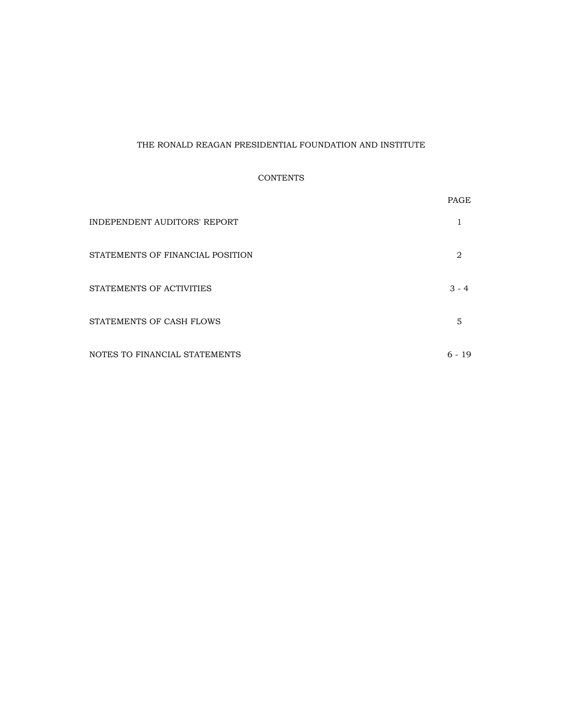# THE RONALD REAGAN PRESIDENTIAL FOUNDATION AND INSTITUTE

## **CONTENTS**

|                                  | <b>PAGE</b> |
|----------------------------------|-------------|
| INDEPENDENT AUDITORS' REPORT     |             |
| STATEMENTS OF FINANCIAL POSITION | 2           |
| STATEMENTS OF ACTIVITIES         | $3 - 4$     |
| STATEMENTS OF CASH FLOWS         | 5           |
| NOTES TO FINANCIAL STATEMENTS    | $6 - 19$    |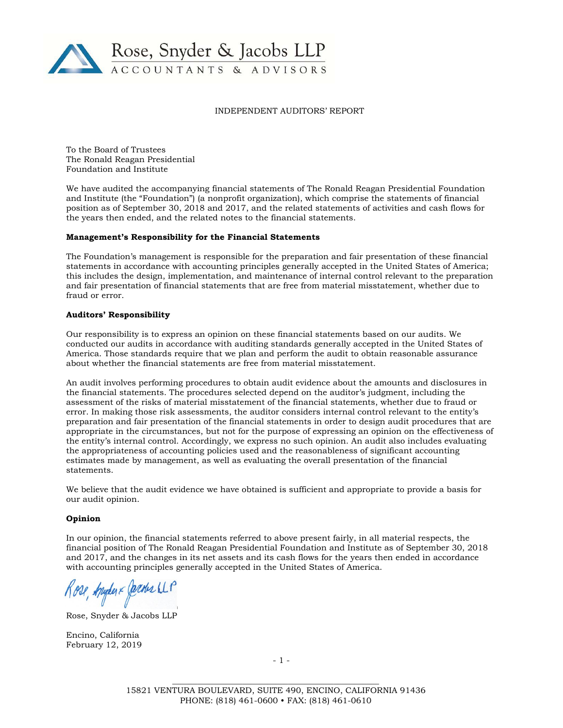

## INDEPENDENT AUDITORS' REPORT

To the Board of Trustees The Ronald Reagan Presidential Foundation and Institute

We have audited the accompanying financial statements of The Ronald Reagan Presidential Foundation and Institute (the "Foundation") (a nonprofit organization), which comprise the statements of financial position as of September 30, 2018 and 2017, and the related statements of activities and cash flows for the years then ended, and the related notes to the financial statements.

## **Management's Responsibility for the Financial Statements**

The Foundation's management is responsible for the preparation and fair presentation of these financial statements in accordance with accounting principles generally accepted in the United States of America; this includes the design, implementation, and maintenance of internal control relevant to the preparation and fair presentation of financial statements that are free from material misstatement, whether due to fraud or error.

## **Auditors' Responsibility**

Our responsibility is to express an opinion on these financial statements based on our audits. We conducted our audits in accordance with auditing standards generally accepted in the United States of America. Those standards require that we plan and perform the audit to obtain reasonable assurance about whether the financial statements are free from material misstatement.

An audit involves performing procedures to obtain audit evidence about the amounts and disclosures in the financial statements. The procedures selected depend on the auditor's judgment, including the assessment of the risks of material misstatement of the financial statements, whether due to fraud or error. In making those risk assessments, the auditor considers internal control relevant to the entity's preparation and fair presentation of the financial statements in order to design audit procedures that are appropriate in the circumstances, but not for the purpose of expressing an opinion on the effectiveness of the entity's internal control. Accordingly, we express no such opinion. An audit also includes evaluating the appropriateness of accounting policies used and the reasonableness of significant accounting estimates made by management, as well as evaluating the overall presentation of the financial statements.

We believe that the audit evidence we have obtained is sufficient and appropriate to provide a basis for our audit opinion.

## **Opinion**

In our opinion, the financial statements referred to above present fairly, in all material respects, the financial position of The Ronald Reagan Presidential Foundation and Institute as of September 30, 2018 and 2017, and the changes in its net assets and its cash flows for the years then ended in accordance with accounting principles generally accepted in the United States of America.

Rose, Apyder & Jacobs LL+

Rose, Snyder & Jacobs LLP

Encino, California February 12, 2019

- 1 -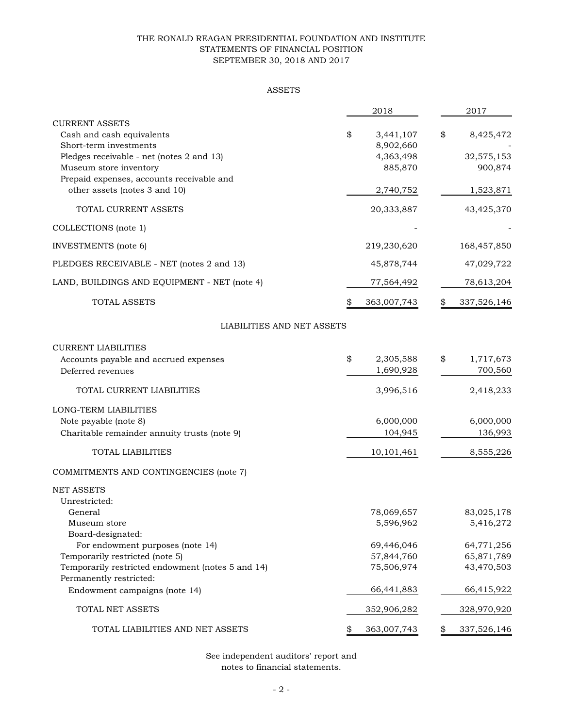# THE RONALD REAGAN PRESIDENTIAL FOUNDATION AND INSTITUTE STATEMENTS OF FINANCIAL POSITION SEPTEMBER 30, 2018 AND 2017

## ASSETS

|                                                       | 2018              | 2017              |
|-------------------------------------------------------|-------------------|-------------------|
| <b>CURRENT ASSETS</b><br>Cash and cash equivalents    | \$<br>3,441,107   | \$<br>8,425,472   |
| Short-term investments                                | 8,902,660         |                   |
| Pledges receivable - net (notes 2 and 13)             | 4,363,498         | 32,575,153        |
| Museum store inventory                                | 885,870           | 900,874           |
| Prepaid expenses, accounts receivable and             |                   |                   |
| other assets (notes 3 and 10)                         | 2,740,752         | 1,523,871         |
| TOTAL CURRENT ASSETS                                  | 20,333,887        | 43,425,370        |
| COLLECTIONS (note 1)                                  |                   |                   |
| <b>INVESTMENTS</b> (note 6)                           | 219,230,620       | 168,457,850       |
| PLEDGES RECEIVABLE - NET (notes 2 and 13)             | 45,878,744        | 47,029,722        |
| LAND, BUILDINGS AND EQUIPMENT - NET (note 4)          | 77,564,492        | 78,613,204        |
| TOTAL ASSETS                                          | \$<br>363,007,743 | \$<br>337,526,146 |
| <b>LIABILITIES AND NET ASSETS</b>                     |                   |                   |
| <b>CURRENT LIABILITIES</b>                            |                   |                   |
| Accounts payable and accrued expenses                 | \$<br>2,305,588   | \$<br>1,717,673   |
| Deferred revenues                                     | 1,690,928         | 700,560           |
| TOTAL CURRENT LIABILITIES                             | 3,996,516         | 2,418,233         |
| LONG-TERM LIABILITIES                                 |                   |                   |
| Note payable (note 8)                                 | 6,000,000         | 6,000,000         |
| Charitable remainder annuity trusts (note 9)          | 104,945           | 136,993           |
| TOTAL LIABILITIES                                     | 10,101,461        | 8,555,226         |
| COMMITMENTS AND CONTINGENCIES (note 7)                |                   |                   |
| <b>NET ASSETS</b>                                     |                   |                   |
| Unrestricted:                                         |                   |                   |
| General                                               | 78,069,657        | 83,025,178        |
| Museum store                                          | 5,596,962         | 5,416,272         |
| Board-designated:<br>For endowment purposes (note 14) | 69,446,046        | 64,771,256        |
| Temporarily restricted (note 5)                       | 57,844,760        | 65,871,789        |
| Temporarily restricted endowment (notes 5 and 14)     | 75,506,974        | 43,470,503        |
| Permanently restricted:                               |                   |                   |
| Endowment campaigns (note 14)                         | 66,441,883        | 66,415,922        |
| TOTAL NET ASSETS                                      | 352,906,282       | 328,970,920       |
| TOTAL LIABILITIES AND NET ASSETS                      | \$<br>363,007,743 | \$<br>337,526,146 |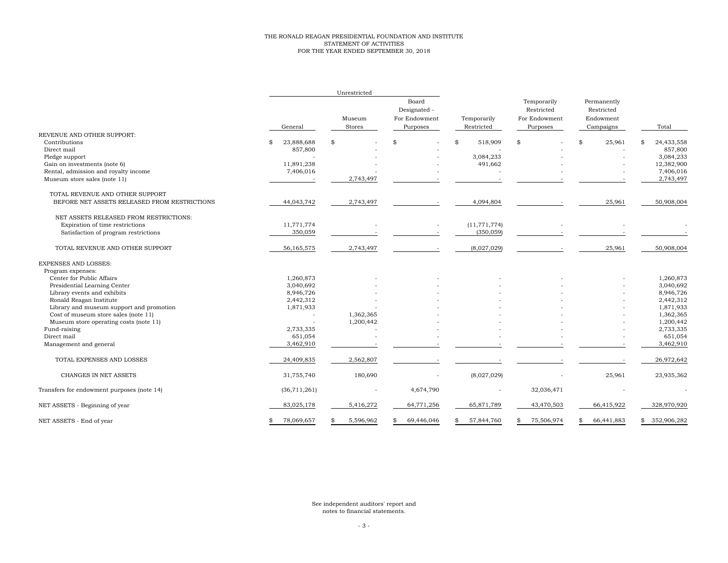#### THE RONALD REAGAN PRESIDENTIAL FOUNDATION AND INSTITUTE STATEMENT OF ACTIVITIES FOR THE YEAR ENDED SEPTEMBER 30, 2018

|                                              |                              | Unrestricted            |                                                    |                           |                                                        |                                                     |                       |
|----------------------------------------------|------------------------------|-------------------------|----------------------------------------------------|---------------------------|--------------------------------------------------------|-----------------------------------------------------|-----------------------|
|                                              | General                      | Museum<br><b>Stores</b> | Board<br>Designated -<br>For Endowment<br>Purposes | Temporarily<br>Restricted | Temporarily<br>Restricted<br>For Endowment<br>Purposes | Permanently<br>Restricted<br>Endowment<br>Campaigns | Total                 |
| REVENUE AND OTHER SUPPORT:                   |                              |                         | \$                                                 |                           |                                                        |                                                     | \$                    |
| Contributions<br>Direct mail                 | 23,888,688<br>-\$<br>857,800 | \$                      |                                                    | \$<br>518,909             | \$                                                     | \$<br>25,961                                        | 24,433,558<br>857,800 |
| Pledge support                               |                              |                         |                                                    | 3,084,233                 |                                                        |                                                     | 3,084,233             |
| Gain on investments (note 6)                 | 11,891,238                   |                         |                                                    | 491,662                   |                                                        |                                                     | 12,382,900            |
| Rental, admission and royalty income         | 7,406,016                    |                         |                                                    |                           |                                                        |                                                     | 7,406,016             |
| Museum store sales (note 11)                 |                              | 2,743,497               |                                                    |                           |                                                        |                                                     | 2,743,497             |
|                                              |                              |                         |                                                    |                           |                                                        |                                                     |                       |
| TOTAL REVENUE AND OTHER SUPPORT              |                              |                         |                                                    |                           |                                                        |                                                     |                       |
| BEFORE NET ASSETS RELEASED FROM RESTRICTIONS | 44,043,742                   | 2,743,497               |                                                    | 4,094,804                 |                                                        | 25,961                                              | 50,908,004            |
| NET ASSETS RELEASED FROM RESTRICTIONS:       |                              |                         |                                                    |                           |                                                        |                                                     |                       |
| Expiration of time restrictions              | 11,771,774                   |                         |                                                    | (11, 771, 774)            |                                                        |                                                     |                       |
| Satisfaction of program restrictions         | 350,059                      |                         |                                                    | (350, 059)                |                                                        |                                                     |                       |
| TOTAL REVENUE AND OTHER SUPPORT              | 56,165,575                   | 2,743,497               |                                                    | (8,027,029)               |                                                        | 25,961                                              | 50,908,004            |
| <b>EXPENSES AND LOSSES:</b>                  |                              |                         |                                                    |                           |                                                        |                                                     |                       |
| Program expenses:                            |                              |                         |                                                    |                           |                                                        |                                                     |                       |
| Center for Public Affairs                    | 1,260,873                    |                         |                                                    |                           |                                                        |                                                     | 1,260,873             |
| Presidential Learning Center                 | 3,040,692                    |                         |                                                    |                           |                                                        |                                                     | 3,040,692             |
| Library events and exhibits                  | 8,946,726                    |                         |                                                    |                           |                                                        |                                                     | 8,946,726             |
| Ronald Reagan Institute                      | 2,442,312                    |                         |                                                    |                           |                                                        |                                                     | 2,442,312             |
| Library and museum support and promotion     | 1,871,933                    |                         |                                                    |                           |                                                        |                                                     | 1,871,933             |
| Cost of museum store sales (note 11)         |                              | 1,362,365               |                                                    |                           |                                                        |                                                     | 1,362,365             |
| Museum store operating costs (note 11)       |                              | 1,200,442               |                                                    |                           |                                                        |                                                     | 1,200,442             |
| Fund-raising<br>Direct mail                  | 2,733,335                    |                         |                                                    |                           |                                                        |                                                     | 2,733,335             |
|                                              | 651,054<br>3,462,910         |                         |                                                    |                           |                                                        |                                                     | 651,054<br>3,462,910  |
| Management and general                       |                              |                         |                                                    |                           |                                                        |                                                     |                       |
| TOTAL EXPENSES AND LOSSES                    | 24,409,835                   | 2,562,807               |                                                    |                           |                                                        |                                                     | 26,972,642            |
| CHANGES IN NET ASSETS                        | 31,755,740                   | 180,690                 |                                                    | (8,027,029)               |                                                        | 25,961                                              | 23,935,362            |
| Transfers for endowment purposes (note 14)   | (36, 711, 261)               |                         | 4,674,790                                          |                           | 32,036,471                                             |                                                     |                       |
| NET ASSETS - Beginning of year               | 83,025,178                   | 5,416,272               | 64,771,256                                         | 65,871,789                | 43,470,503                                             | 66,415,922                                          | 328,970,920           |
| NET ASSETS - End of year                     | 78,069,657<br>\$             | 5,596,962<br>\$         | 69,446,046<br>\$                                   | 57,844,760<br>\$          | \$<br>75,506,974                                       | \$<br>66,441,883                                    | \$ 352,906,282        |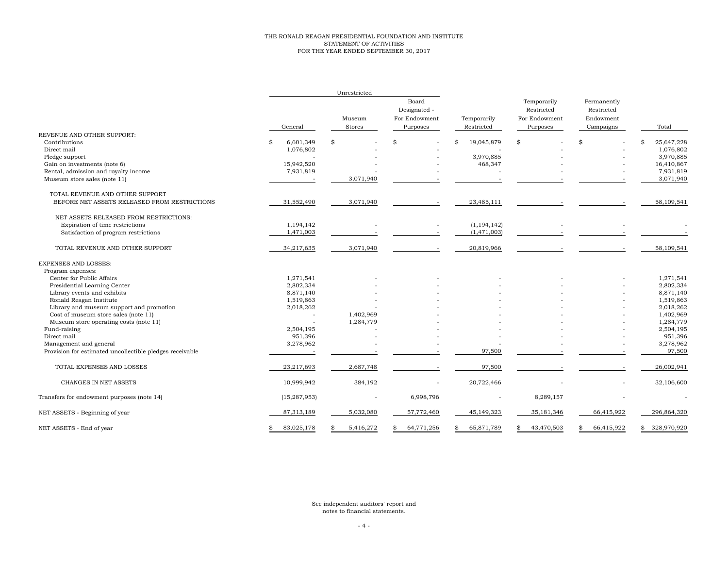#### THE RONALD REAGAN PRESIDENTIAL FOUNDATION AND INSTITUTE STATEMENT OF ACTIVITIES FOR THE YEAR ENDED SEPTEMBER 30, 2017

|                                                          |                  | Unrestricted            |                                                    |                           |                                                        |                                                     |                   |
|----------------------------------------------------------|------------------|-------------------------|----------------------------------------------------|---------------------------|--------------------------------------------------------|-----------------------------------------------------|-------------------|
|                                                          | General          | Museum<br><b>Stores</b> | Board<br>Designated -<br>For Endowment<br>Purposes | Temporarily<br>Restricted | Temporarily<br>Restricted<br>For Endowment<br>Purposes | Permanently<br>Restricted<br>Endowment<br>Campaigns | Total             |
| REVENUE AND OTHER SUPPORT:<br>Contributions              | 6,601,349<br>\$  | \$                      | \$                                                 | \$<br>19,045,879          | \$                                                     | \$                                                  | \$<br>25,647,228  |
| Direct mail                                              | 1,076,802        |                         |                                                    |                           |                                                        |                                                     | 1,076,802         |
| Pledge support                                           |                  |                         |                                                    | 3,970,885                 |                                                        |                                                     | 3,970,885         |
| Gain on investments (note 6)                             | 15,942,520       |                         |                                                    | 468,347                   |                                                        |                                                     | 16,410,867        |
| Rental, admission and royalty income                     | 7,931,819        |                         |                                                    |                           |                                                        |                                                     | 7,931,819         |
|                                                          |                  |                         |                                                    |                           |                                                        |                                                     | 3,071,940         |
| Museum store sales (note 11)                             |                  | 3,071,940               |                                                    |                           |                                                        |                                                     |                   |
| TOTAL REVENUE AND OTHER SUPPORT                          |                  |                         |                                                    |                           |                                                        |                                                     |                   |
| BEFORE NET ASSETS RELEASED FROM RESTRICTIONS             | 31,552,490       | 3,071,940               |                                                    | 23,485,111                |                                                        |                                                     | 58,109,541        |
| NET ASSETS RELEASED FROM RESTRICTIONS:                   |                  |                         |                                                    |                           |                                                        |                                                     |                   |
| Expiration of time restrictions                          | 1,194,142        |                         |                                                    | (1, 194, 142)             |                                                        |                                                     |                   |
| Satisfaction of program restrictions                     | 1,471,003        |                         |                                                    | (1,471,003)               |                                                        |                                                     |                   |
| TOTAL REVENUE AND OTHER SUPPORT                          | 34,217,635       | 3,071,940               |                                                    | 20,819,966                |                                                        |                                                     | 58,109,541        |
| <b>EXPENSES AND LOSSES:</b>                              |                  |                         |                                                    |                           |                                                        |                                                     |                   |
| Program expenses:                                        |                  |                         |                                                    |                           |                                                        |                                                     |                   |
| Center for Public Affairs                                | 1,271,541        |                         |                                                    |                           |                                                        |                                                     | 1,271,541         |
| Presidential Learning Center                             | 2,802,334        |                         |                                                    |                           |                                                        |                                                     | 2,802,334         |
| Library events and exhibits                              | 8,871,140        |                         |                                                    |                           |                                                        |                                                     | 8,871,140         |
| Ronald Reagan Institute                                  | 1,519,863        |                         |                                                    |                           |                                                        |                                                     | 1,519,863         |
| Library and museum support and promotion                 | 2,018,262        |                         |                                                    |                           |                                                        |                                                     | 2,018,262         |
| Cost of museum store sales (note 11)                     |                  | 1,402,969               |                                                    |                           |                                                        |                                                     | 1,402,969         |
| Museum store operating costs (note 11)                   |                  | 1,284,779               |                                                    |                           |                                                        |                                                     | 1,284,779         |
| Fund-raising                                             | 2,504,195        |                         |                                                    |                           |                                                        |                                                     | 2,504,195         |
| Direct mail                                              | 951,396          |                         |                                                    |                           |                                                        |                                                     | 951,396           |
| Management and general                                   | 3,278,962        |                         |                                                    |                           |                                                        |                                                     | 3,278,962         |
| Provision for estimated uncollectible pledges receivable |                  |                         |                                                    | 97,500                    |                                                        |                                                     | 97,500            |
| TOTAL EXPENSES AND LOSSES                                | 23,217,693       | 2,687,748               |                                                    | 97,500                    |                                                        |                                                     | 26,002,941        |
| CHANGES IN NET ASSETS                                    | 10,999,942       | 384,192                 |                                                    | 20,722,466                |                                                        |                                                     | 32,106,600        |
| Transfers for endowment purposes (note 14)               | (15, 287, 953)   |                         | 6,998,796                                          |                           | 8,289,157                                              |                                                     |                   |
| NET ASSETS - Beginning of year                           | 87,313,189       | 5,032,080               | 57,772,460                                         | 45,149,323                | 35,181,346                                             | 66,415,922                                          | 296,864,320       |
| NET ASSETS - End of year                                 | 83,025,178<br>\$ | 5,416,272<br>\$         | 64,771,256<br>\$                                   | 65,871,789<br>\$          | \$<br>43,470,503                                       | \$<br>66,415,922                                    | 328,970,920<br>\$ |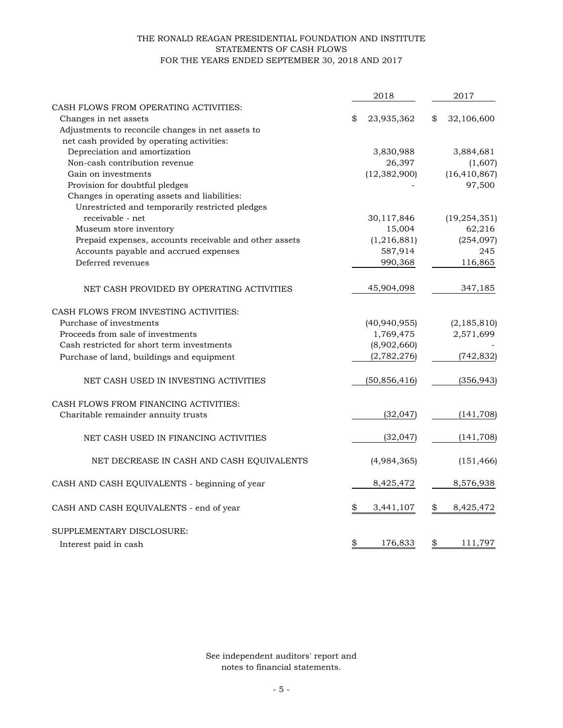# THE RONALD REAGAN PRESIDENTIAL FOUNDATION AND INSTITUTE STATEMENTS OF CASH FLOWS FOR THE YEARS ENDED SEPTEMBER 30, 2018 AND 2017

|                                                        | 2018             | 2017             |
|--------------------------------------------------------|------------------|------------------|
| CASH FLOWS FROM OPERATING ACTIVITIES:                  |                  |                  |
| Changes in net assets                                  | \$<br>23,935,362 | \$<br>32,106,600 |
| Adjustments to reconcile changes in net assets to      |                  |                  |
| net cash provided by operating activities:             |                  |                  |
| Depreciation and amortization                          | 3,830,988        | 3,884,681        |
| Non-cash contribution revenue                          | 26,397           | (1,607)          |
| Gain on investments                                    | (12, 382, 900)   | (16, 410, 867)   |
| Provision for doubtful pledges                         |                  | 97,500           |
| Changes in operating assets and liabilities:           |                  |                  |
| Unrestricted and temporarily restricted pledges        |                  |                  |
| receivable - net                                       | 30,117,846       | (19, 254, 351)   |
| Museum store inventory                                 | 15,004           | 62,216           |
| Prepaid expenses, accounts receivable and other assets | (1,216,881)      | (254, 097)       |
| Accounts payable and accrued expenses                  | 587,914          | 245              |
| Deferred revenues                                      | 990,368          | 116,865          |
| NET CASH PROVIDED BY OPERATING ACTIVITIES              | 45,904,098       | 347,185          |
| CASH FLOWS FROM INVESTING ACTIVITIES:                  |                  |                  |
| Purchase of investments                                | (40, 940, 955)   | (2, 185, 810)    |
| Proceeds from sale of investments                      | 1,769,475        | 2,571,699        |
| Cash restricted for short term investments             | (8,902,660)      |                  |
| Purchase of land, buildings and equipment              | (2,782,276)      | (742,832)        |
|                                                        |                  |                  |
| NET CASH USED IN INVESTING ACTIVITIES                  | (50, 856, 416)   | (356, 943)       |
| CASH FLOWS FROM FINANCING ACTIVITIES:                  |                  |                  |
| Charitable remainder annuity trusts                    | (32, 047)        | (141, 708)       |
| NET CASH USED IN FINANCING ACTIVITIES                  | (32, 047)        | (141, 708)       |
| NET DECREASE IN CASH AND CASH EQUIVALENTS              | (4,984,365)      | (151, 466)       |
| CASH AND CASH EQUIVALENTS - beginning of year          | 8,425,472        | 8,576,938        |
| CASH AND CASH EQUIVALENTS - end of year                | \$<br>3,441,107  | \$<br>8,425,472  |
| SUPPLEMENTARY DISCLOSURE:                              |                  |                  |
| Interest paid in cash                                  | \$<br>176,833    | \$<br>111,797    |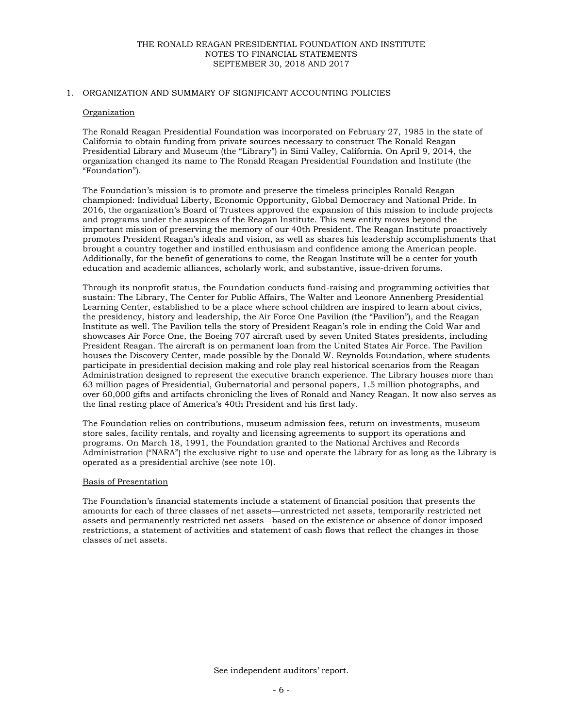## 1. ORGANIZATION AND SUMMARY OF SIGNIFICANT ACCOUNTING POLICIES

## Organization

The Ronald Reagan Presidential Foundation was incorporated on February 27, 1985 in the state of California to obtain funding from private sources necessary to construct The Ronald Reagan Presidential Library and Museum (the "Library") in Simi Valley, California. On April 9, 2014, the organization changed its name to The Ronald Reagan Presidential Foundation and Institute (the "Foundation").

The Foundation's mission is to promote and preserve the timeless principles Ronald Reagan championed: Individual Liberty, Economic Opportunity, Global Democracy and National Pride. In 2016, the organization's Board of Trustees approved the expansion of this mission to include projects and programs under the auspices of the Reagan Institute. This new entity moves beyond the important mission of preserving the memory of our 40th President. The Reagan Institute proactively promotes President Reagan's ideals and vision, as well as shares his leadership accomplishments that brought a country together and instilled enthusiasm and confidence among the American people. Additionally, for the benefit of generations to come, the Reagan Institute will be a center for youth education and academic alliances, scholarly work, and substantive, issue-driven forums.

Through its nonprofit status, the Foundation conducts fund-raising and programming activities that sustain: The Library, The Center for Public Affairs, The Walter and Leonore Annenberg Presidential Learning Center, established to be a place where school children are inspired to learn about civics, the presidency, history and leadership, the Air Force One Pavilion (the "Pavilion"), and the Reagan Institute as well. The Pavilion tells the story of President Reagan's role in ending the Cold War and showcases Air Force One, the Boeing 707 aircraft used by seven United States presidents, including President Reagan. The aircraft is on permanent loan from the United States Air Force. The Pavilion houses the Discovery Center, made possible by the Donald W. Reynolds Foundation, where students participate in presidential decision making and role play real historical scenarios from the Reagan Administration designed to represent the executive branch experience. The Library houses more than 63 million pages of Presidential, Gubernatorial and personal papers, 1.5 million photographs, and over 60,000 gifts and artifacts chronicling the lives of Ronald and Nancy Reagan. It now also serves as the final resting place of America's 40th President and his first lady.

The Foundation relies on contributions, museum admission fees, return on investments, museum store sales, facility rentals, and royalty and licensing agreements to support its operations and programs. On March 18, 1991, the Foundation granted to the National Archives and Records Administration ("NARA") the exclusive right to use and operate the Library for as long as the Library is operated as a presidential archive (see note 10).

### Basis of Presentation

The Foundation's financial statements include a statement of financial position that presents the amounts for each of three classes of net assets—unrestricted net assets, temporarily restricted net assets and permanently restricted net assets—based on the existence or absence of donor imposed restrictions, a statement of activities and statement of cash flows that reflect the changes in those classes of net assets.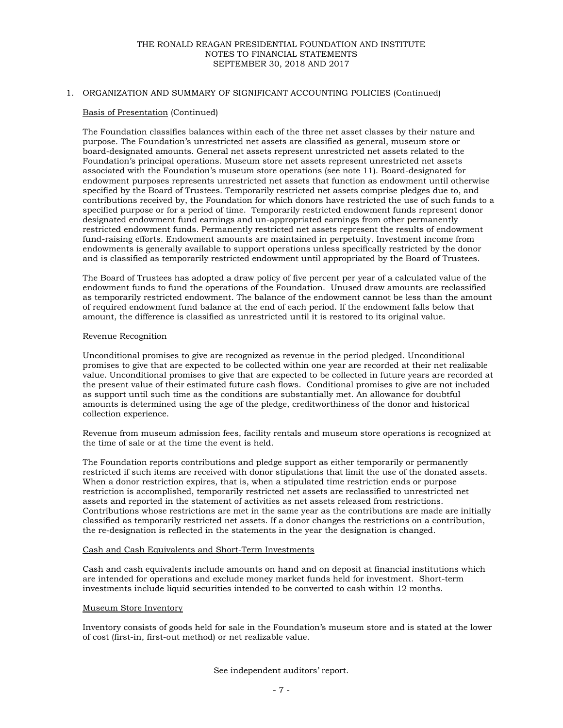## 1. ORGANIZATION AND SUMMARY OF SIGNIFICANT ACCOUNTING POLICIES (Continued)

## Basis of Presentation (Continued)

The Foundation classifies balances within each of the three net asset classes by their nature and purpose. The Foundation's unrestricted net assets are classified as general, museum store or board-designated amounts. General net assets represent unrestricted net assets related to the Foundation's principal operations. Museum store net assets represent unrestricted net assets associated with the Foundation's museum store operations (see note 11). Board-designated for endowment purposes represents unrestricted net assets that function as endowment until otherwise specified by the Board of Trustees. Temporarily restricted net assets comprise pledges due to, and contributions received by, the Foundation for which donors have restricted the use of such funds to a specified purpose or for a period of time. Temporarily restricted endowment funds represent donor designated endowment fund earnings and un-appropriated earnings from other permanently restricted endowment funds. Permanently restricted net assets represent the results of endowment fund-raising efforts. Endowment amounts are maintained in perpetuity. Investment income from endowments is generally available to support operations unless specifically restricted by the donor and is classified as temporarily restricted endowment until appropriated by the Board of Trustees.

The Board of Trustees has adopted a draw policy of five percent per year of a calculated value of the endowment funds to fund the operations of the Foundation. Unused draw amounts are reclassified as temporarily restricted endowment. The balance of the endowment cannot be less than the amount of required endowment fund balance at the end of each period. If the endowment falls below that amount, the difference is classified as unrestricted until it is restored to its original value.

### Revenue Recognition

Unconditional promises to give are recognized as revenue in the period pledged. Unconditional promises to give that are expected to be collected within one year are recorded at their net realizable value. Unconditional promises to give that are expected to be collected in future years are recorded at the present value of their estimated future cash flows. Conditional promises to give are not included as support until such time as the conditions are substantially met. An allowance for doubtful amounts is determined using the age of the pledge, creditworthiness of the donor and historical collection experience.

Revenue from museum admission fees, facility rentals and museum store operations is recognized at the time of sale or at the time the event is held.

The Foundation reports contributions and pledge support as either temporarily or permanently restricted if such items are received with donor stipulations that limit the use of the donated assets. When a donor restriction expires, that is, when a stipulated time restriction ends or purpose restriction is accomplished, temporarily restricted net assets are reclassified to unrestricted net assets and reported in the statement of activities as net assets released from restrictions. Contributions whose restrictions are met in the same year as the contributions are made are initially classified as temporarily restricted net assets. If a donor changes the restrictions on a contribution, the re-designation is reflected in the statements in the year the designation is changed.

### Cash and Cash Equivalents and Short-Term Investments

Cash and cash equivalents include amounts on hand and on deposit at financial institutions which are intended for operations and exclude money market funds held for investment. Short-term investments include liquid securities intended to be converted to cash within 12 months.

## Museum Store Inventory

Inventory consists of goods held for sale in the Foundation's museum store and is stated at the lower of cost (first-in, first-out method) or net realizable value.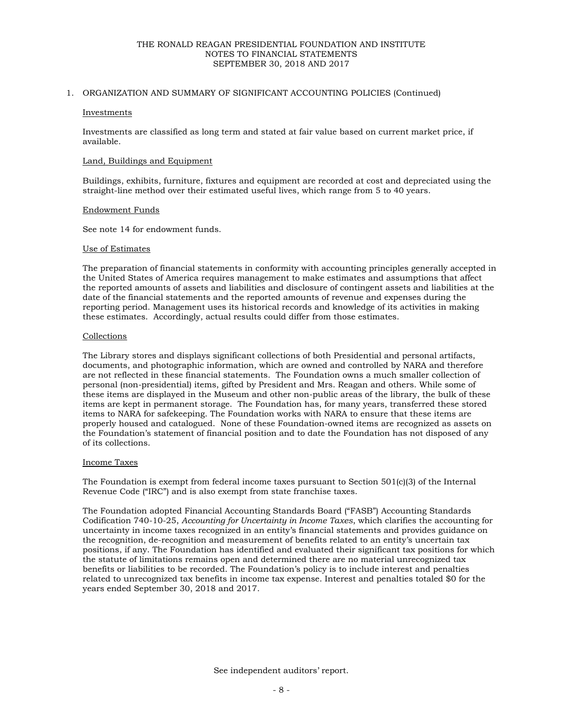### 1. ORGANIZATION AND SUMMARY OF SIGNIFICANT ACCOUNTING POLICIES (Continued)

### Investments

Investments are classified as long term and stated at fair value based on current market price, if available.

## Land, Buildings and Equipment

Buildings, exhibits, furniture, fixtures and equipment are recorded at cost and depreciated using the straight-line method over their estimated useful lives, which range from 5 to 40 years.

### Endowment Funds

See note 14 for endowment funds.

### Use of Estimates

The preparation of financial statements in conformity with accounting principles generally accepted in the United States of America requires management to make estimates and assumptions that affect the reported amounts of assets and liabilities and disclosure of contingent assets and liabilities at the date of the financial statements and the reported amounts of revenue and expenses during the reporting period. Management uses its historical records and knowledge of its activities in making these estimates. Accordingly, actual results could differ from those estimates.

## Collections

The Library stores and displays significant collections of both Presidential and personal artifacts, documents, and photographic information, which are owned and controlled by NARA and therefore are not reflected in these financial statements. The Foundation owns a much smaller collection of personal (non-presidential) items, gifted by President and Mrs. Reagan and others. While some of these items are displayed in the Museum and other non-public areas of the library, the bulk of these items are kept in permanent storage. The Foundation has, for many years, transferred these stored items to NARA for safekeeping. The Foundation works with NARA to ensure that these items are properly housed and catalogued. None of these Foundation-owned items are recognized as assets on the Foundation's statement of financial position and to date the Foundation has not disposed of any of its collections.

### Income Taxes

The Foundation is exempt from federal income taxes pursuant to Section  $501(c)(3)$  of the Internal Revenue Code ("IRC") and is also exempt from state franchise taxes.

The Foundation adopted Financial Accounting Standards Board ("FASB") Accounting Standards Codification 740-10-25, *Accounting for Uncertainty in Income Taxes*, which clarifies the accounting for uncertainty in income taxes recognized in an entity's financial statements and provides guidance on the recognition, de-recognition and measurement of benefits related to an entity's uncertain tax positions, if any. The Foundation has identified and evaluated their significant tax positions for which the statute of limitations remains open and determined there are no material unrecognized tax benefits or liabilities to be recorded. The Foundation's policy is to include interest and penalties related to unrecognized tax benefits in income tax expense. Interest and penalties totaled \$0 for the years ended September 30, 2018 and 2017.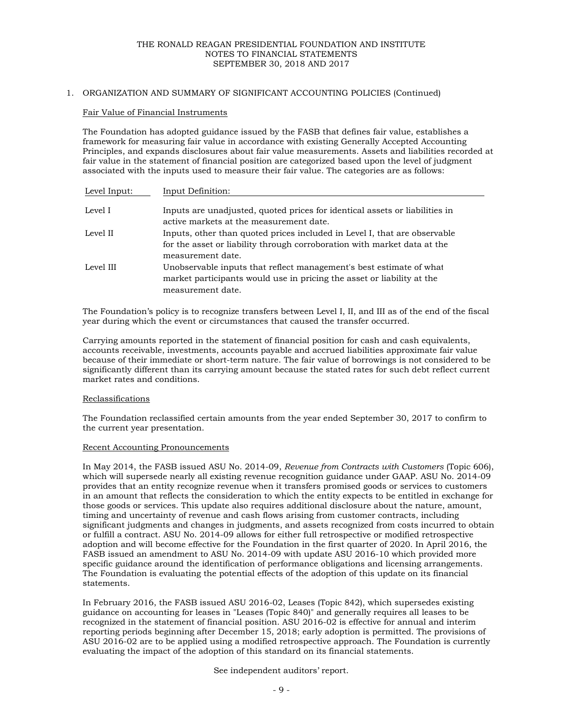## 1. ORGANIZATION AND SUMMARY OF SIGNIFICANT ACCOUNTING POLICIES (Continued)

## Fair Value of Financial Instruments

The Foundation has adopted guidance issued by the FASB that defines fair value, establishes a framework for measuring fair value in accordance with existing Generally Accepted Accounting Principles, and expands disclosures about fair value measurements. Assets and liabilities recorded at fair value in the statement of financial position are categorized based upon the level of judgment associated with the inputs used to measure their fair value. The categories are as follows:

| Level Input: | Input Definition:                                                           |
|--------------|-----------------------------------------------------------------------------|
| Level I      | Inputs are unadjusted, quoted prices for identical assets or liabilities in |
|              | active markets at the measurement date.                                     |
| Level II     | Inputs, other than quoted prices included in Level I, that are observable   |
|              | for the asset or liability through corroboration with market data at the    |
|              | measurement date.                                                           |
| Level III    | Unobservable inputs that reflect management's best estimate of what         |
|              | market participants would use in pricing the asset or liability at the      |
|              | measurement date.                                                           |

The Foundation's policy is to recognize transfers between Level I, II, and III as of the end of the fiscal year during which the event or circumstances that caused the transfer occurred.

Carrying amounts reported in the statement of financial position for cash and cash equivalents, accounts receivable, investments, accounts payable and accrued liabilities approximate fair value because of their immediate or short-term nature. The fair value of borrowings is not considered to be significantly different than its carrying amount because the stated rates for such debt reflect current market rates and conditions.

### Reclassifications

The Foundation reclassified certain amounts from the year ended September 30, 2017 to confirm to the current year presentation.

### Recent Accounting Pronouncements

In May 2014, the FASB issued ASU No. 2014-09, *Revenue from Contracts with Customers* (Topic 606), which will supersede nearly all existing revenue recognition guidance under GAAP. ASU No. 2014-09 provides that an entity recognize revenue when it transfers promised goods or services to customers in an amount that reflects the consideration to which the entity expects to be entitled in exchange for those goods or services. This update also requires additional disclosure about the nature, amount, timing and uncertainty of revenue and cash flows arising from customer contracts, including significant judgments and changes in judgments, and assets recognized from costs incurred to obtain or fulfill a contract. ASU No. 2014-09 allows for either full retrospective or modified retrospective adoption and will become effective for the Foundation in the first quarter of 2020. In April 2016, the FASB issued an amendment to ASU No. 2014-09 with update ASU 2016-10 which provided more specific guidance around the identification of performance obligations and licensing arrangements. The Foundation is evaluating the potential effects of the adoption of this update on its financial statements.

In February 2016, the FASB issued ASU 2016-02, Leases (Topic 842), which supersedes existing guidance on accounting for leases in "Leases (Topic 840)" and generally requires all leases to be recognized in the statement of financial position. ASU 2016-02 is effective for annual and interim reporting periods beginning after December 15, 2018; early adoption is permitted. The provisions of ASU 2016-02 are to be applied using a modified retrospective approach. The Foundation is currently evaluating the impact of the adoption of this standard on its financial statements.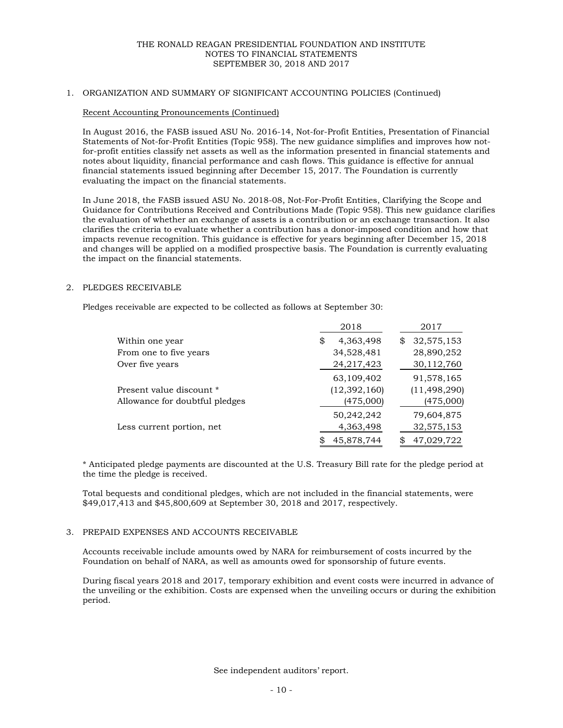## 1. ORGANIZATION AND SUMMARY OF SIGNIFICANT ACCOUNTING POLICIES (Continued)

## Recent Accounting Pronouncements (Continued)

In August 2016, the FASB issued ASU No. 2016-14, Not-for-Profit Entities, Presentation of Financial Statements of Not-for-Profit Entities (Topic 958). The new guidance simplifies and improves how notfor-profit entities classify net assets as well as the information presented in financial statements and notes about liquidity, financial performance and cash flows. This guidance is effective for annual financial statements issued beginning after December 15, 2017. The Foundation is currently evaluating the impact on the financial statements.

In June 2018, the FASB issued ASU No. 2018-08, Not-For-Profit Entities, Clarifying the Scope and Guidance for Contributions Received and Contributions Made (Topic 958). This new guidance clarifies the evaluation of whether an exchange of assets is a contribution or an exchange transaction. It also clarifies the criteria to evaluate whether a contribution has a donor-imposed condition and how that impacts revenue recognition. This guidance is effective for years beginning after December 15, 2018 and changes will be applied on a modified prospective basis. The Foundation is currently evaluating the impact on the financial statements.

## 2. PLEDGES RECEIVABLE

Pledges receivable are expected to be collected as follows at September 30:

|                                | 2018            | 2017             |
|--------------------------------|-----------------|------------------|
| Within one year                | 4,363,498<br>\$ | 32,575,153<br>\$ |
| From one to five years         | 34,528,481      | 28,890,252       |
| Over five years                | 24,217,423      | 30,112,760       |
|                                | 63,109,402      | 91,578,165       |
| Present value discount *       | (12, 392, 160)  | (11, 498, 290)   |
| Allowance for doubtful pledges | (475,000)       | (475,000)        |
|                                | 50,242,242      | 79,604,875       |
| Less current portion, net      | 4,363,498       | 32,575,153       |
|                                | 45,878,744      | 47,029,722       |

\* Anticipated pledge payments are discounted at the U.S. Treasury Bill rate for the pledge period at the time the pledge is received.

Total bequests and conditional pledges, which are not included in the financial statements, were \$49,017,413 and \$45,800,609 at September 30, 2018 and 2017, respectively.

## 3. PREPAID EXPENSES AND ACCOUNTS RECEIVABLE

Accounts receivable include amounts owed by NARA for reimbursement of costs incurred by the Foundation on behalf of NARA, as well as amounts owed for sponsorship of future events.

During fiscal years 2018 and 2017, temporary exhibition and event costs were incurred in advance of the unveiling or the exhibition. Costs are expensed when the unveiling occurs or during the exhibition period.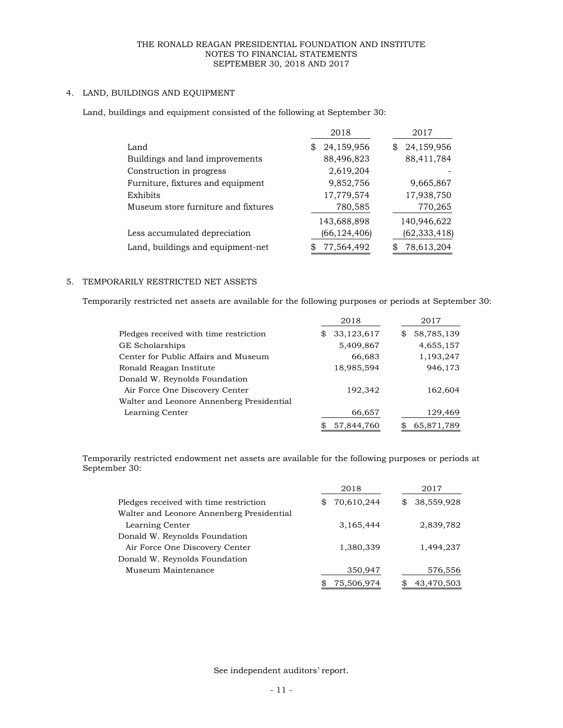## 4. LAND, BUILDINGS AND EQUIPMENT

Land, buildings and equipment consisted of the following at September 30:

|                                     | 2018             | 2017             |
|-------------------------------------|------------------|------------------|
| Land                                | 24,159,956<br>\$ | 24,159,956<br>\$ |
| Buildings and land improvements     | 88,496,823       | 88,411,784       |
| Construction in progress            | 2,619,204        |                  |
| Furniture, fixtures and equipment   | 9,852,756        | 9,665,867        |
| Exhibits                            | 17,779,574       | 17,938,750       |
| Museum store furniture and fixtures | 780,585          | 770,265          |
|                                     | 143,688,898      | 140,946,622      |
| Less accumulated depreciation       | (66, 124, 406)   | (62, 333, 418)   |
| Land, buildings and equipment-net   | 77,564,492       | 78,613,204<br>ς  |

## 5. TEMPORARILY RESTRICTED NET ASSETS

Temporarily restricted net assets are available for the following purposes or periods at September 30:

|                                           | 2018             | 2017             |
|-------------------------------------------|------------------|------------------|
| Pledges received with time restriction    | 33,123,617<br>\$ | 58,785,139<br>\$ |
| GE Scholarships                           | 5,409,867        | 4,655,157        |
| Center for Public Affairs and Museum      | 66,683           | 1,193,247        |
| Ronald Reagan Institute                   | 18,985,594       | 946,173          |
| Donald W. Reynolds Foundation             |                  |                  |
| Air Force One Discovery Center            | 192,342          | 162,604          |
| Walter and Leonore Annenberg Presidential |                  |                  |
| Learning Center                           | 66,657           | 129,469          |
|                                           | 57,844,760<br>\$ | 65,871,789       |

Temporarily restricted endowment net assets are available for the following purposes or periods at September 30:

|                                           | 2018            | 2017              |
|-------------------------------------------|-----------------|-------------------|
| Pledges received with time restriction    | 70,610,244<br>S | 38,559,928<br>\$. |
| Walter and Leonore Annenberg Presidential |                 |                   |
| Learning Center                           | 3,165,444       | 2,839,782         |
| Donald W. Reynolds Foundation             |                 |                   |
| Air Force One Discovery Center            | 1,380,339       | 1,494,237         |
| Donald W. Reynolds Foundation             |                 |                   |
| Museum Maintenance                        | 350,947         | 576,556           |
|                                           | 75.506.974      | 43.470.503        |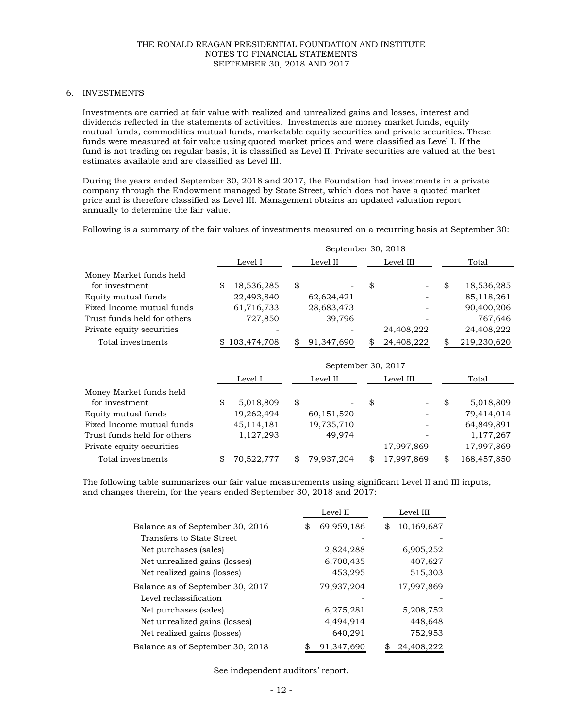## 6. INVESTMENTS

Investments are carried at fair value with realized and unrealized gains and losses, interest and dividends reflected in the statements of activities. Investments are money market funds, equity mutual funds, commodities mutual funds, marketable equity securities and private securities. These funds were measured at fair value using quoted market prices and were classified as Level I. If the fund is not trading on regular basis, it is classified as Level II. Private securities are valued at the best estimates available and are classified as Level III.

During the years ended September 30, 2018 and 2017, the Foundation had investments in a private company through the Endowment managed by State Street, which does not have a quoted market price and is therefore classified as Level III. Management obtains an updated valuation report annually to determine the fair value.

Following is a summary of the fair values of investments measured on a recurring basis at September 30:

|                                           | September 30, 2018 |               |    |                    |    |            |                   |
|-------------------------------------------|--------------------|---------------|----|--------------------|----|------------|-------------------|
|                                           |                    | Level I       |    | Level II           |    | Level III  | Total             |
| Money Market funds held<br>for investment | \$                 | 18,536,285    | \$ |                    | \$ |            | \$<br>18,536,285  |
|                                           |                    |               |    |                    |    |            |                   |
| Equity mutual funds                       |                    | 22,493,840    |    | 62,624,421         |    |            | 85,118,261        |
| Fixed Income mutual funds                 |                    | 61,716,733    |    | 28,683,473         |    |            | 90,400,206        |
| Trust funds held for others               |                    | 727,850       |    | 39,796             |    |            | 767,646           |
| Private equity securities                 |                    |               |    |                    |    | 24,408,222 | 24,408,222        |
| Total investments                         |                    | \$103,474,708 | \$ | 91,347,690         | \$ | 24,408,222 | \$<br>219,230,620 |
|                                           |                    |               |    | September 30, 2017 |    |            |                   |
|                                           |                    | Level I       |    | Level II           |    | Level III  | Total             |
| Money Market funds held                   |                    |               |    |                    |    |            |                   |
| for investment                            | \$                 | 5,018,809     | \$ |                    | \$ |            | \$<br>5,018,809   |
| Equity mutual funds                       |                    | 19,262,494    |    | 60,151,520         |    |            | 79,414,014        |
| Fixed Income mutual funds                 |                    | 45, 114, 181  |    | 19,735,710         |    |            | 64,849,891        |
| Trust funds held for others               |                    | 1,127,293     |    | 49,974             |    |            | 1,177,267         |
| Private equity securities                 |                    |               |    |                    |    | 17,997,869 | 17,997,869        |
| Total investments                         | \$                 | 70,522,777    | \$ | 79,937,204         | \$ | 17,997,869 | \$<br>168,457,850 |

The following table summarizes our fair value measurements using significant Level II and III inputs, and changes therein, for the years ended September 30, 2018 and 2017:

|                                  | Level II         | Level III        |
|----------------------------------|------------------|------------------|
| Balance as of September 30, 2016 | 69,959,186<br>\$ | 10,169,687<br>\$ |
| Transfers to State Street        |                  |                  |
| Net purchases (sales)            | 2,824,288        | 6,905,252        |
| Net unrealized gains (losses)    | 6,700,435        | 407,627          |
| Net realized gains (losses)      | 453,295          | 515,303          |
| Balance as of September 30, 2017 | 79,937,204       | 17,997,869       |
| Level reclassification           |                  |                  |
| Net purchases (sales)            | 6,275,281        | 5,208,752        |
| Net unrealized gains (losses)    | 4,494,914        | 448,648          |
| Net realized gains (losses)      | 640,291          | 752,953          |
| Balance as of September 30, 2018 | 91.347.690       | 24.408.222       |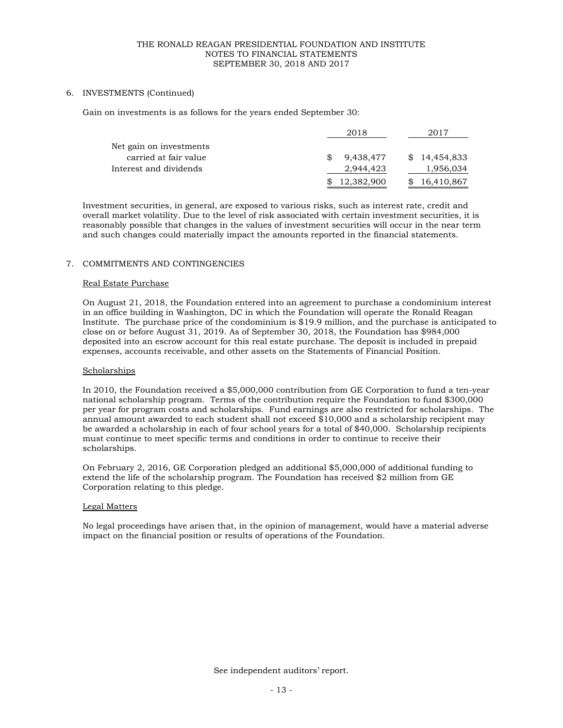## 6. INVESTMENTS (Continued)

Gain on investments is as follows for the years ended September 30:

|                         | 2018       |  |              |  |
|-------------------------|------------|--|--------------|--|
| Net gain on investments |            |  |              |  |
| carried at fair value   | 9.438.477  |  | \$14.454.833 |  |
| Interest and dividends  | 2,944,423  |  | 1,956,034    |  |
|                         | 12,382,900 |  | 16,410,867   |  |

Investment securities, in general, are exposed to various risks, such as interest rate, credit and overall market volatility. Due to the level of risk associated with certain investment securities, it is reasonably possible that changes in the values of investment securities will occur in the near term and such changes could materially impact the amounts reported in the financial statements.

## 7. COMMITMENTS AND CONTINGENCIES

### Real Estate Purchase

On August 21, 2018, the Foundation entered into an agreement to purchase a condominium interest in an office building in Washington, DC in which the Foundation will operate the Ronald Reagan Institute. The purchase price of the condominium is \$19.9 million, and the purchase is anticipated to close on or before August 31, 2019. As of September 30, 2018, the Foundation has \$984,000 deposited into an escrow account for this real estate purchase. The deposit is included in prepaid expenses, accounts receivable, and other assets on the Statements of Financial Position.

### Scholarships

In 2010, the Foundation received a \$5,000,000 contribution from GE Corporation to fund a ten-year national scholarship program. Terms of the contribution require the Foundation to fund \$300,000 per year for program costs and scholarships. Fund earnings are also restricted for scholarships. The annual amount awarded to each student shall not exceed \$10,000 and a scholarship recipient may be awarded a scholarship in each of four school years for a total of \$40,000. Scholarship recipients must continue to meet specific terms and conditions in order to continue to receive their scholarships.

On February 2, 2016, GE Corporation pledged an additional \$5,000,000 of additional funding to extend the life of the scholarship program. The Foundation has received \$2 million from GE Corporation relating to this pledge.

### Legal Matters

No legal proceedings have arisen that, in the opinion of management, would have a material adverse impact on the financial position or results of operations of the Foundation.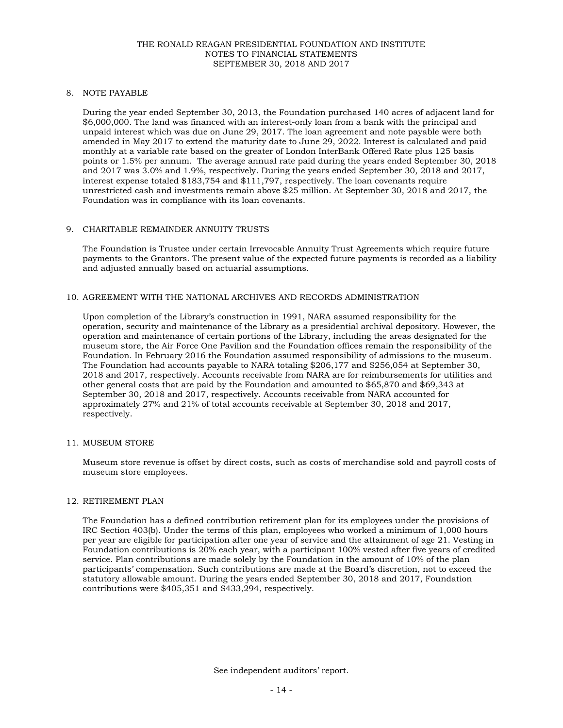## 8. NOTE PAYABLE

During the year ended September 30, 2013, the Foundation purchased 140 acres of adjacent land for \$6,000,000. The land was financed with an interest-only loan from a bank with the principal and unpaid interest which was due on June 29, 2017. The loan agreement and note payable were both amended in May 2017 to extend the maturity date to June 29, 2022. Interest is calculated and paid monthly at a variable rate based on the greater of London InterBank Offered Rate plus 125 basis points or 1.5% per annum. The average annual rate paid during the years ended September 30, 2018 and 2017 was 3.0% and 1.9%, respectively. During the years ended September 30, 2018 and 2017, interest expense totaled \$183,754 and \$111,797, respectively. The loan covenants require unrestricted cash and investments remain above \$25 million. At September 30, 2018 and 2017, the Foundation was in compliance with its loan covenants.

## 9. CHARITABLE REMAINDER ANNUITY TRUSTS

The Foundation is Trustee under certain Irrevocable Annuity Trust Agreements which require future payments to the Grantors. The present value of the expected future payments is recorded as a liability and adjusted annually based on actuarial assumptions.

## 10. AGREEMENT WITH THE NATIONAL ARCHIVES AND RECORDS ADMINISTRATION

Upon completion of the Library's construction in 1991, NARA assumed responsibility for the operation, security and maintenance of the Library as a presidential archival depository. However, the operation and maintenance of certain portions of the Library, including the areas designated for the museum store, the Air Force One Pavilion and the Foundation offices remain the responsibility of the Foundation. In February 2016 the Foundation assumed responsibility of admissions to the museum. The Foundation had accounts payable to NARA totaling \$206,177 and \$256,054 at September 30, 2018 and 2017, respectively. Accounts receivable from NARA are for reimbursements for utilities and other general costs that are paid by the Foundation and amounted to \$65,870 and \$69,343 at September 30, 2018 and 2017, respectively. Accounts receivable from NARA accounted for approximately 27% and 21% of total accounts receivable at September 30, 2018 and 2017, respectively.

### 11. MUSEUM STORE

Museum store revenue is offset by direct costs, such as costs of merchandise sold and payroll costs of museum store employees.

## 12. RETIREMENT PLAN

The Foundation has a defined contribution retirement plan for its employees under the provisions of IRC Section 403(b). Under the terms of this plan, employees who worked a minimum of 1,000 hours per year are eligible for participation after one year of service and the attainment of age 21. Vesting in Foundation contributions is 20% each year, with a participant 100% vested after five years of credited service. Plan contributions are made solely by the Foundation in the amount of 10% of the plan participants' compensation. Such contributions are made at the Board's discretion, not to exceed the statutory allowable amount. During the years ended September 30, 2018 and 2017, Foundation contributions were \$405,351 and \$433,294, respectively.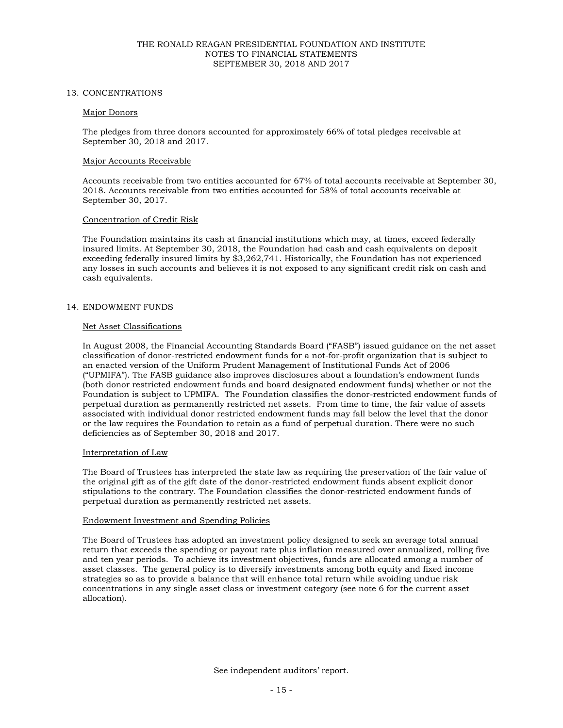## 13. CONCENTRATIONS

## Major Donors

The pledges from three donors accounted for approximately 66% of total pledges receivable at September 30, 2018 and 2017.

### Major Accounts Receivable

Accounts receivable from two entities accounted for 67% of total accounts receivable at September 30, 2018. Accounts receivable from two entities accounted for 58% of total accounts receivable at September 30, 2017.

## Concentration of Credit Risk

The Foundation maintains its cash at financial institutions which may, at times, exceed federally insured limits. At September 30, 2018, the Foundation had cash and cash equivalents on deposit exceeding federally insured limits by \$3,262,741. Historically, the Foundation has not experienced any losses in such accounts and believes it is not exposed to any significant credit risk on cash and cash equivalents.

## 14. ENDOWMENT FUNDS

## Net Asset Classifications

In August 2008, the Financial Accounting Standards Board ("FASB") issued guidance on the net asset classification of donor-restricted endowment funds for a not-for-profit organization that is subject to an enacted version of the Uniform Prudent Management of Institutional Funds Act of 2006 ("UPMIFA"). The FASB guidance also improves disclosures about a foundation's endowment funds (both donor restricted endowment funds and board designated endowment funds) whether or not the Foundation is subject to UPMIFA. The Foundation classifies the donor-restricted endowment funds of perpetual duration as permanently restricted net assets. From time to time, the fair value of assets associated with individual donor restricted endowment funds may fall below the level that the donor or the law requires the Foundation to retain as a fund of perpetual duration. There were no such deficiencies as of September 30, 2018 and 2017.

### Interpretation of Law

The Board of Trustees has interpreted the state law as requiring the preservation of the fair value of the original gift as of the gift date of the donor-restricted endowment funds absent explicit donor stipulations to the contrary. The Foundation classifies the donor-restricted endowment funds of perpetual duration as permanently restricted net assets.

### Endowment Investment and Spending Policies

The Board of Trustees has adopted an investment policy designed to seek an average total annual return that exceeds the spending or payout rate plus inflation measured over annualized, rolling five and ten year periods. To achieve its investment objectives, funds are allocated among a number of asset classes. The general policy is to diversify investments among both equity and fixed income strategies so as to provide a balance that will enhance total return while avoiding undue risk concentrations in any single asset class or investment category (see note 6 for the current asset allocation).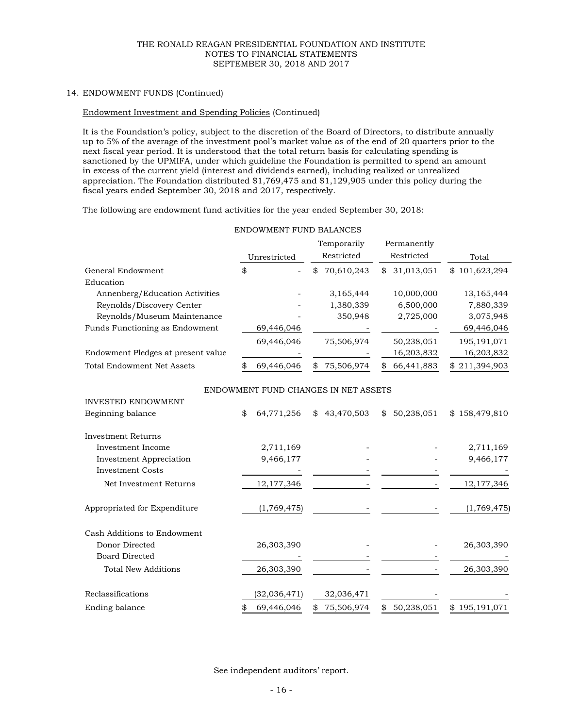## 14. ENDOWMENT FUNDS (Continued)

## Endowment Investment and Spending Policies (Continued)

It is the Foundation's policy, subject to the discretion of the Board of Directors, to distribute annually up to 5% of the average of the investment pool's market value as of the end of 20 quarters prior to the next fiscal year period. It is understood that the total return basis for calculating spending is sanctioned by the UPMIFA, under which guideline the Foundation is permitted to spend an amount in excess of the current yield (interest and dividends earned), including realized or unrealized appreciation. The Foundation distributed \$1,769,475 and \$1,129,905 under this policy during the fiscal years ended September 30, 2018 and 2017, respectively.

The following are endowment fund activities for the year ended September 30, 2018:

## ENDOWMENT FUND BALANCES

|                                    |              | Temporarily              |            |            | Permanently |            |               |
|------------------------------------|--------------|--------------------------|------------|------------|-------------|------------|---------------|
|                                    | Unrestricted |                          | Restricted |            | Restricted  |            | Total         |
| General Endowment                  | \$           | $\overline{\phantom{0}}$ | \$         | 70,610,243 | \$          | 31,013,051 | \$101,623,294 |
| Education                          |              |                          |            |            |             |            |               |
| Annenberg/Education Activities     |              |                          |            | 3,165,444  |             | 10,000,000 | 13,165,444    |
| Reynolds/Discovery Center          |              |                          |            | 1,380,339  |             | 6,500,000  | 7,880,339     |
| Reynolds/Museum Maintenance        |              |                          |            | 350,948    |             | 2,725,000  | 3,075,948     |
| Funds Functioning as Endowment     |              | 69,446,046               |            |            |             |            | 69,446,046    |
|                                    |              | 69,446,046               |            | 75,506,974 |             | 50,238,051 | 195, 191, 071 |
| Endowment Pledges at present value |              |                          |            |            |             | 16,203,832 | 16,203,832    |
| <b>Total Endowment Net Assets</b>  | \$           | 69,446,046               | \$         | 75,506,974 | \$          | 66,441,883 | \$211,394,903 |

ENDOWMENT FUND CHANGES IN NET ASSETS

| <b>INVESTED ENDOWMENT</b>    |                  |                  |                  |               |
|------------------------------|------------------|------------------|------------------|---------------|
| Beginning balance            | \$<br>64,771,256 | 43,470,503<br>\$ | 50,238,051<br>\$ | \$158,479,810 |
| Investment Returns           |                  |                  |                  |               |
| Investment Income            | 2,711,169        |                  |                  | 2,711,169     |
| Investment Appreciation      | 9,466,177        |                  |                  | 9,466,177     |
| Investment Costs             |                  |                  |                  |               |
| Net Investment Returns       | 12, 177, 346     |                  |                  | 12,177,346    |
| Appropriated for Expenditure | (1,769,475)      |                  |                  | (1,769,475)   |
| Cash Additions to Endowment  |                  |                  |                  |               |
| Donor Directed               | 26,303,390       |                  |                  | 26,303,390    |
| <b>Board Directed</b>        |                  |                  |                  |               |
| <b>Total New Additions</b>   | 26,303,390       |                  |                  | 26,303,390    |
| Reclassifications            | (32,036,471)     | 32,036,471       |                  |               |
| Ending balance               | \$<br>69,446,046 | 75,506,974<br>\$ | 50,238,051<br>\$ | \$195,191,071 |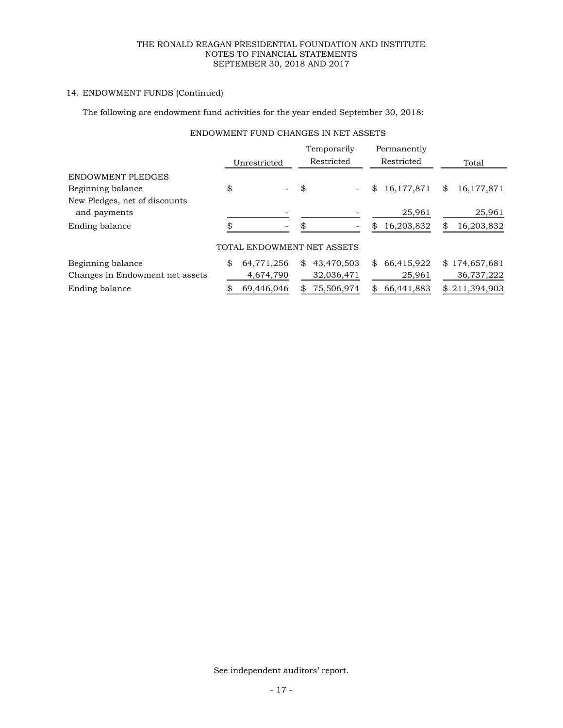# 14. ENDOWMENT FUNDS (Continued)

The following are endowment fund activities for the year ended September 30, 2018:

## ENDOWMENT FUND CHANGES IN NET ASSETS

|                                 |                            | Temporarily |            |    | Permanently |    |               |
|---------------------------------|----------------------------|-------------|------------|----|-------------|----|---------------|
|                                 | Unrestricted               |             | Restricted |    | Restricted  |    | Total         |
| <b>ENDOWMENT PLEDGES</b>        |                            |             |            |    |             |    |               |
| Beginning balance               | \$                         | \$          | ۰          | \$ | 16,177,871  | \$ | 16,177,871    |
| New Pledges, net of discounts   |                            |             |            |    |             |    |               |
| and payments                    |                            |             |            |    | 25,961      |    | 25,961        |
| Ending balance                  | \$                         | S           |            | \$ | 16,203,832  | \$ | 16,203,832    |
|                                 | TOTAL ENDOWMENT NET ASSETS |             |            |    |             |    |               |
| Beginning balance               | \$<br>64,771,256           | \$          | 43,470,503 | \$ | 66,415,922  |    | \$174,657,681 |
| Changes in Endowment net assets | 4,674,790                  |             | 32,036,471 |    | 25,961      |    | 36,737,222    |
| Ending balance                  | 69,446,046                 | \$          | 75,506,974 | \$ | 66,441,883  |    | \$211,394,903 |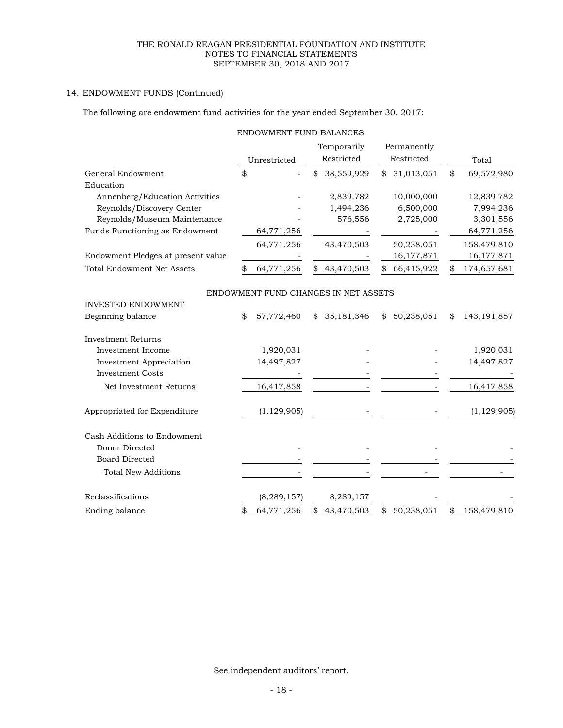## 14. ENDOWMENT FUNDS (Continued)

The following are endowment fund activities for the year ended September 30, 2017:

|                                                                                                                                       |              | ENDOWMENT FUND BALANCES                            |                           |                                   |             |                                      |                                                    |
|---------------------------------------------------------------------------------------------------------------------------------------|--------------|----------------------------------------------------|---------------------------|-----------------------------------|-------------|--------------------------------------|----------------------------------------------------|
|                                                                                                                                       | Unrestricted |                                                    | Temporarily<br>Restricted |                                   | Permanently |                                      |                                                    |
|                                                                                                                                       |              |                                                    |                           |                                   |             | Restricted                           | Total                                              |
| General Endowment<br>Education                                                                                                        | \$           |                                                    | \$                        | 38,559,929                        | \$          | 31,013,051                           | \$<br>69,572,980                                   |
| Annenberg/Education Activities<br>Reynolds/Discovery Center<br>Reynolds/Museum Maintenance<br>Funds Functioning as Endowment          |              | 64,771,256                                         |                           | 2,839,782<br>1,494,236<br>576,556 |             | 10,000,000<br>6,500,000<br>2,725,000 | 12,839,782<br>7,994,236<br>3,301,556<br>64,771,256 |
| Endowment Pledges at present value                                                                                                    |              | 64,771,256                                         |                           | 43,470,503                        |             | 50,238,051<br>16,177,871             | 158,479,810<br>16,177,871                          |
| <b>Total Endowment Net Assets</b>                                                                                                     |              | 64,771,256                                         | \$                        | 43,470,503                        | \$          | 66,415,922                           | \$<br>174,657,681                                  |
| <b>INVESTED ENDOWMENT</b><br>Beginning balance                                                                                        | \$           | ENDOWMENT FUND CHANGES IN NET ASSETS<br>57,772,460 | \$                        | 35,181,346                        | \$          | 50,238,051                           | \$<br>143, 191, 857                                |
| <b>Investment Returns</b><br>Investment Income<br><b>Investment Appreciation</b><br><b>Investment Costs</b><br>Net Investment Returns |              | 1,920,031<br>14,497,827<br>16,417,858              |                           |                                   |             |                                      | 1,920,031<br>14,497,827<br>16,417,858              |
| Appropriated for Expenditure                                                                                                          |              | (1, 129, 905)                                      |                           |                                   |             |                                      | (1, 129, 905)                                      |
| Cash Additions to Endowment<br>Donor Directed<br><b>Board Directed</b><br><b>Total New Additions</b>                                  |              |                                                    |                           |                                   |             |                                      |                                                    |
| Reclassifications                                                                                                                     |              | (8, 289, 157)                                      |                           | 8,289,157                         |             |                                      |                                                    |
| Ending balance                                                                                                                        | \$           | 64,771,256                                         | \$                        | 43,470,503                        | \$          | 50,238,051                           | \$<br>158,479,810                                  |